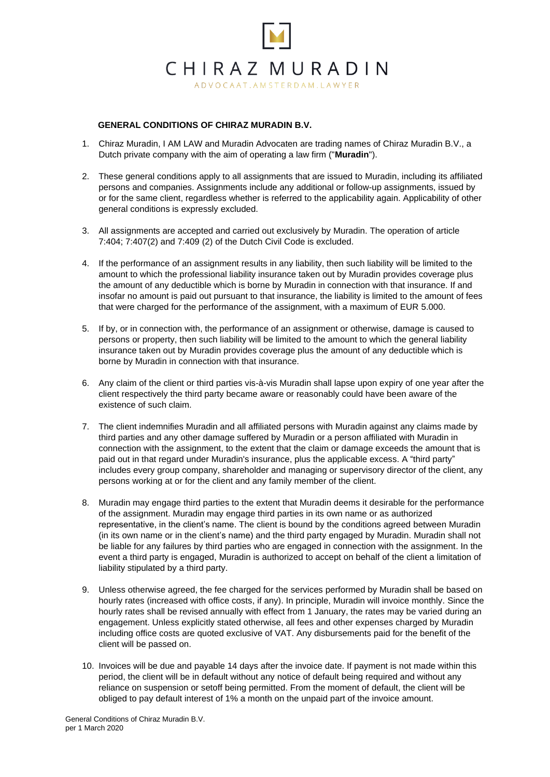

## **GENERAL CONDITIONS OF CHIRAZ MURADIN B.V.**

- 1. Chiraz Muradin, I AM LAW and Muradin Advocaten are trading names of Chiraz Muradin B.V., a Dutch private company with the aim of operating a law firm ("**Muradin**").
- 2. These general conditions apply to all assignments that are issued to Muradin, including its affiliated persons and companies. Assignments include any additional or follow-up assignments, issued by or for the same client, regardless whether is referred to the applicability again. Applicability of other general conditions is expressly excluded.
- 3. All assignments are accepted and carried out exclusively by Muradin. The operation of article 7:404; 7:407(2) and 7:409 (2) of the Dutch Civil Code is excluded.
- 4. If the performance of an assignment results in any liability, then such liability will be limited to the amount to which the professional liability insurance taken out by Muradin provides coverage plus the amount of any deductible which is borne by Muradin in connection with that insurance. If and insofar no amount is paid out pursuant to that insurance, the liability is limited to the amount of fees that were charged for the performance of the assignment, with a maximum of EUR 5.000.
- 5. If by, or in connection with, the performance of an assignment or otherwise, damage is caused to persons or property, then such liability will be limited to the amount to which the general liability insurance taken out by Muradin provides coverage plus the amount of any deductible which is borne by Muradin in connection with that insurance.
- 6. Any claim of the client or third parties vis-à-vis Muradin shall lapse upon expiry of one year after the client respectively the third party became aware or reasonably could have been aware of the existence of such claim.
- 7. The client indemnifies Muradin and all affiliated persons with Muradin against any claims made by third parties and any other damage suffered by Muradin or a person affiliated with Muradin in connection with the assignment, to the extent that the claim or damage exceeds the amount that is paid out in that regard under Muradin's insurance, plus the applicable excess. A "third party" includes every group company, shareholder and managing or supervisory director of the client, any persons working at or for the client and any family member of the client.
- 8. Muradin may engage third parties to the extent that Muradin deems it desirable for the performance of the assignment. Muradin may engage third parties in its own name or as authorized representative, in the client's name. The client is bound by the conditions agreed between Muradin (in its own name or in the client's name) and the third party engaged by Muradin. Muradin shall not be liable for any failures by third parties who are engaged in connection with the assignment. In the event a third party is engaged, Muradin is authorized to accept on behalf of the client a limitation of liability stipulated by a third party.
- 9. Unless otherwise agreed, the fee charged for the services performed by Muradin shall be based on hourly rates (increased with office costs, if any). In principle, Muradin will invoice monthly. Since the hourly rates shall be revised annually with effect from 1 January, the rates may be varied during an engagement. Unless explicitly stated otherwise, all fees and other expenses charged by Muradin including office costs are quoted exclusive of VAT. Any disbursements paid for the benefit of the client will be passed on.
- 10. Invoices will be due and payable 14 days after the invoice date. If payment is not made within this period, the client will be in default without any notice of default being required and without any reliance on suspension or setoff being permitted. From the moment of default, the client will be obliged to pay default interest of 1% a month on the unpaid part of the invoice amount.